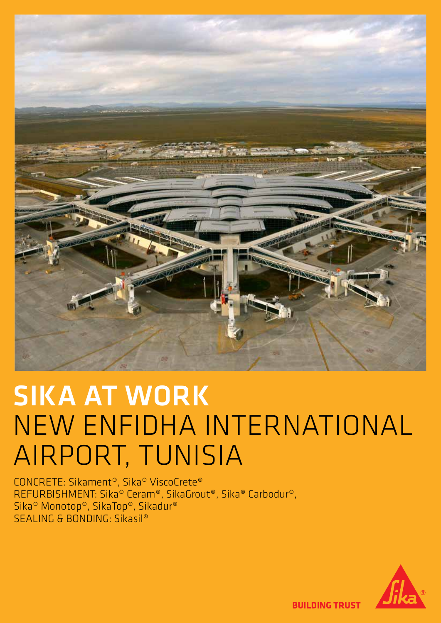

# SIKA AT WORK NEW ENFIDHA INTERNATIONAL AIRPORT, TUNISIA

CONCRETE: Sikament®, Sika® ViscoCrete® REFURBISHMENT: Sika® Ceram®, SikaGrout®, Sika® Carbodur®, Sika® Monotop®, SikaTop®, Sikadur® SEALING & BONDING: Sikasil®



**BUILDING TRUST**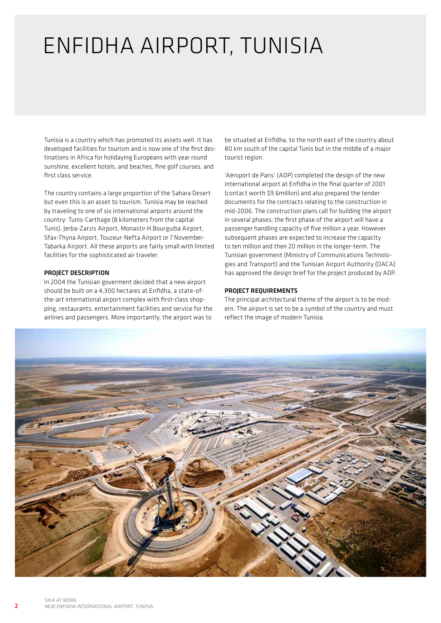### ENFIDHA AIRPORT, TUNISIA

Tunisia is a country which has promoted its assets well. It has developed facilities for tourism and is now one of the first destinations in Africa for holidaying Europeans with year round sunshine, excellent hotels, and beaches, fine golf courses, and first class service.

The country contains a large proportion of the Sahara Desert but even this is an asset to tourism. Tunisia may be reached by traveling to one of six international airports around the country: Tunis-Carthage (8 kilometers from the capital Tunis), Jerba-Zarzis Airport, Monastir H.Bourguiba Airport, Sfax-Thyna Airport, Touzeur-Nefta Airport or 7 November-Tabarka Airport. All these airports are fairly small with limited facilities for the sophisticated air traveler.

#### PROJECT DESCRIPTION

In 2004 the Tunisian goverment decided that a new airport should be built on a 4,300 hectares at Enfidha, a state-ofthe-art international airport complex with first-class shopping, restaurants, entertainment facilities and service for the airlines and passengers. More importantly, the airport was to

be situated at Enfidha, to the north east of the country about 80 km south of the capital Tunis but in the middle of a major tourist region.

'Aéroport de Paris' (ADP) completed the design of the new international airport at Enfidha in the final quarter of 2001 (contact worth \$9.6million) and also prepared the tender documents for the contracts relating to the construction in mid-2006. The construction plans call for building the airport in several phases; the first phase of the airport will have a passenger handling capacity of five million a year. However subsequent phases are expected to increase the capacity to ten million and then 20 million in the longer-term. The Tunisian government (Ministry of Communications Technologies and Transport) and the Tunisian Airport Authority (OACA) has approved the design brief for the project produced by ADP.

#### PROJECT REQUIREMENTS

The principal architectural theme of the airport is to be modern. The airport is set to be a symbol of the country and must reflect the image of modern Tunisia.

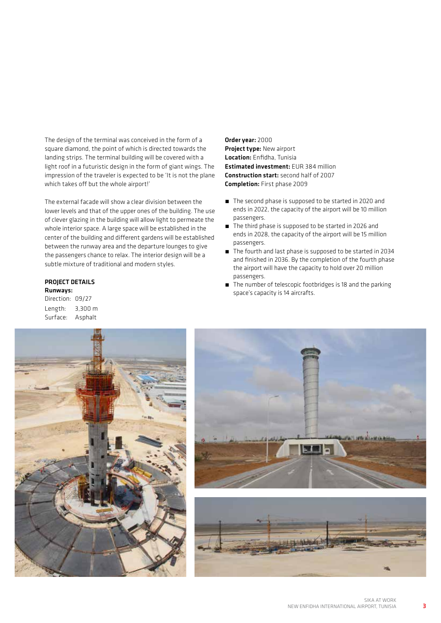The design of the terminal was conceived in the form of a square diamond, the point of which is directed towards the landing strips. The terminal building will be covered with a light roof in a futuristic design in the form of giant wings. The impression of the traveler is expected to be 'It is not the plane which takes off but the whole airport!'

The external facade will show a clear division between the lower levels and that of the upper ones of the building. The use of clever glazing in the building will allow light to permeate the whole interior space. A large space will be established in the center of the building and different gardens will be established between the runway area and the departure lounges to give the passengers chance to relax. The interior design will be a subtle mixture of traditional and modern styles.

#### PROJECT DETAILS Runways:

Direction: 09/27 Length: 3,300 m Surface: Asphalt

Order year: 2000 Project type: New airport Location: Enfidha, Tunisia Estimated investment: EUR 384 million Construction start: second half of 2007 Completion: First phase 2009

- The second phase is supposed to be started in 2020 and ends in 2022, the capacity of the airport will be 10 million passengers.
- The third phase is supposed to be started in 2026 and ends in 2028, the capacity of the airport will be 15 million passengers.
- The fourth and last phase is supposed to be started in 2034 and finished in 2036. By the completion of the fourth phase the airport will have the capacity to hold over 20 million passengers.
- The number of telescopic footbridges is 18 and the parking space's capacity is 14 aircrafts.







3